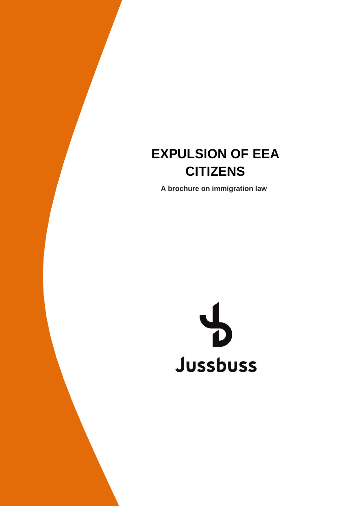# $CITIZENS$ **EXPULSION OF EEA**

**A brochure on immigration law**

#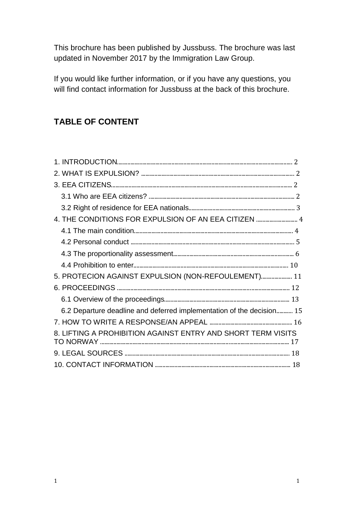This brochure has been published by Jussbuss. The brochure was last updated in November 2017 by the Immigration Law Group.

If you would like further information, or if you have any questions, you will find contact information for Jussbuss at the back of this brochure.

# **TABLE OF CONTENT**

| 4. THE CONDITIONS FOR EXPULSION OF AN EEA CITIZEN  4                  |
|-----------------------------------------------------------------------|
|                                                                       |
|                                                                       |
|                                                                       |
|                                                                       |
| 5. PROTECION AGAINST EXPULSION (NON-REFOULEMENT) 11                   |
|                                                                       |
|                                                                       |
| 6.2 Departure deadline and deferred implementation of the decision 15 |
|                                                                       |
| 8. LIFTING A PROHIBITION AGAINST ENTRY AND SHORT TERM VISITS          |
|                                                                       |
|                                                                       |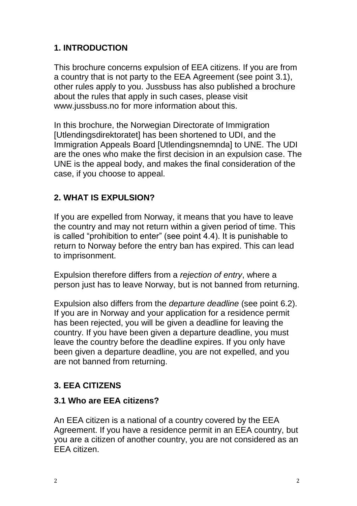# **1. INTRODUCTION**

This brochure concerns expulsion of EEA citizens. If you are from a country that is not party to the EEA Agreement (see point 3.1), other rules apply to you. Jussbuss has also published a brochure about the rules that apply in such cases, please visit www.jussbuss.no for more information about this.

In this brochure, the Norwegian Directorate of Immigration [Utlendingsdirektoratet] has been shortened to UDI, and the Immigration Appeals Board [Utlendingsnemnda] to UNE. The UDI are the ones who make the first decision in an expulsion case. The UNE is the appeal body, and makes the final consideration of the case, if you choose to appeal.

# **2. WHAT IS EXPULSION?**

If you are expelled from Norway, it means that you have to leave the country and may not return within a given period of time. This is called "prohibition to enter" (see point 4.4). It is punishable to return to Norway before the entry ban has expired. This can lead to imprisonment.

Expulsion therefore differs from a *rejection of entry*, where a person just has to leave Norway, but is not banned from returning.

Expulsion also differs from the *departure deadline* (see point 6.2). If you are in Norway and your application for a residence permit has been rejected, you will be given a deadline for leaving the country. If you have been given a departure deadline, you must leave the country before the deadline expires. If you only have been given a departure deadline, you are not expelled, and you are not banned from returning.

# **3. EEA CITIZENS**

## **3.1 Who are EEA citizens?**

An EEA citizen is a national of a country covered by the EEA Agreement. If you have a residence permit in an EEA country, but you are a citizen of another country, you are not considered as an EEA citizen.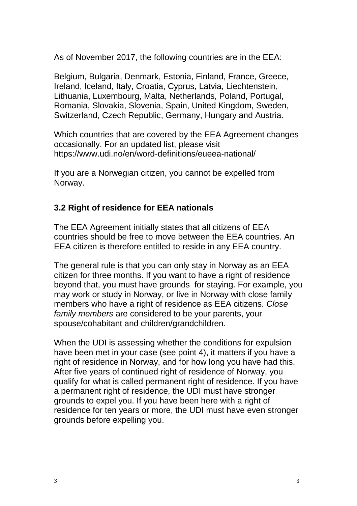As of November 2017, the following countries are in the EEA:

Belgium, Bulgaria, Denmark, Estonia, Finland, France, Greece, Ireland, Iceland, Italy, Croatia, Cyprus, Latvia, Liechtenstein, Lithuania, Luxembourg, Malta, Netherlands, Poland, Portugal, Romania, Slovakia, Slovenia, Spain, United Kingdom, Sweden, Switzerland, Czech Republic, Germany, Hungary and Austria.

Which countries that are covered by the EEA Agreement changes occasionally. For an updated list, please visit https://www.udi.no/en/word-definitions/eueea-national/

If you are a Norwegian citizen, you cannot be expelled from Norway.

# **3.2 Right of residence for EEA nationals**

The EEA Agreement initially states that all citizens of EEA countries should be free to move between the EEA countries. An EEA citizen is therefore entitled to reside in any EEA country.

The general rule is that you can only stay in Norway as an EEA citizen for three months. If you want to have a right of residence beyond that, you must have grounds for staying. For example, you may work or study in Norway, or live in Norway with close family members who have a right of residence as EEA citizens. *Close family members* are considered to be your parents, your spouse/cohabitant and children/grandchildren.

When the UDI is assessing whether the conditions for expulsion have been met in your case (see point 4), it matters if you have a right of residence in Norway, and for how long you have had this. After five years of continued right of residence of Norway, you qualify for what is called permanent right of residence. If you have a permanent right of residence, the UDI must have stronger grounds to expel you. If you have been here with a right of residence for ten years or more, the UDI must have even stronger grounds before expelling you.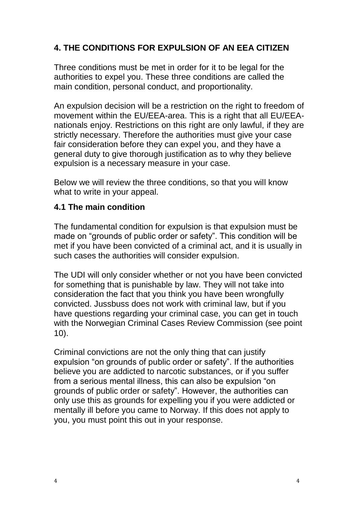# **4. THE CONDITIONS FOR EXPULSION OF AN EEA CITIZEN**

Three conditions must be met in order for it to be legal for the authorities to expel you. These three conditions are called the main condition, personal conduct, and proportionality.

An expulsion decision will be a restriction on the right to freedom of movement within the EU/EEA-area. This is a right that all EU/EEAnationals enjoy. Restrictions on this right are only lawful, if they are strictly necessary. Therefore the authorities must give your case fair consideration before they can expel you, and they have a general duty to give thorough justification as to why they believe expulsion is a necessary measure in your case.

Below we will review the three conditions, so that you will know what to write in your appeal.

#### **4.1 The main condition**

The fundamental condition for expulsion is that expulsion must be made on "grounds of public order or safety". This condition will be met if you have been convicted of a criminal act, and it is usually in such cases the authorities will consider expulsion.

The UDI will only consider whether or not you have been convicted for something that is punishable by law. They will not take into consideration the fact that you think you have been wrongfully convicted. Jussbuss does not work with criminal law, but if you have questions regarding your criminal case, you can get in touch with the Norwegian Criminal Cases Review Commission (see point 10).

Criminal convictions are not the only thing that can justify expulsion "on grounds of public order or safety". If the authorities believe you are addicted to narcotic substances, or if you suffer from a serious mental illness, this can also be expulsion "on grounds of public order or safety". However, the authorities can only use this as grounds for expelling you if you were addicted or mentally ill before you came to Norway. If this does not apply to you, you must point this out in your response.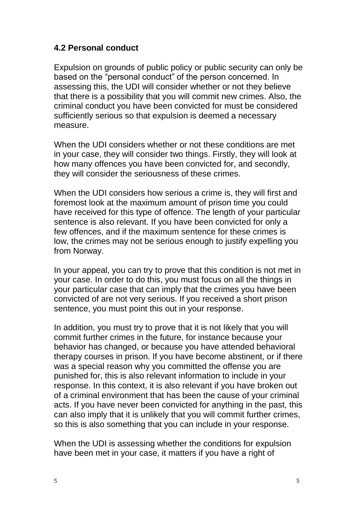#### **4.2 Personal conduct**

Expulsion on grounds of public policy or public security can only be based on the "personal conduct" of the person concerned. In assessing this, the UDI will consider whether or not they believe that there is a possibility that you will commit new crimes. Also, the criminal conduct you have been convicted for must be considered sufficiently serious so that expulsion is deemed a necessary measure.

When the UDI considers whether or not these conditions are met in your case, they will consider two things. Firstly, they will look at how many offences you have been convicted for, and secondly, they will consider the seriousness of these crimes.

When the UDI considers how serious a crime is, they will first and foremost look at the maximum amount of prison time you could have received for this type of offence. The length of your particular sentence is also relevant. If you have been convicted for only a few offences, and if the maximum sentence for these crimes is low, the crimes may not be serious enough to justify expelling you from Norway.

In your appeal, you can try to prove that this condition is not met in your case. In order to do this, you must focus on all the things in your particular case that can imply that the crimes you have been convicted of are not very serious. If you received a short prison sentence, you must point this out in your response.

In addition, you must try to prove that it is not likely that you will commit further crimes in the future, for instance because your behavior has changed, or because you have attended behavioral therapy courses in prison. If you have become abstinent, or if there was a special reason why you committed the offense you are punished for, this is also relevant information to include in your response. In this context, it is also relevant if you have broken out of a criminal environment that has been the cause of your criminal acts. If you have never been convicted for anything in the past, this can also imply that it is unlikely that you will commit further crimes, so this is also something that you can include in your response.

When the UDI is assessing whether the conditions for expulsion have been met in your case, it matters if you have a right of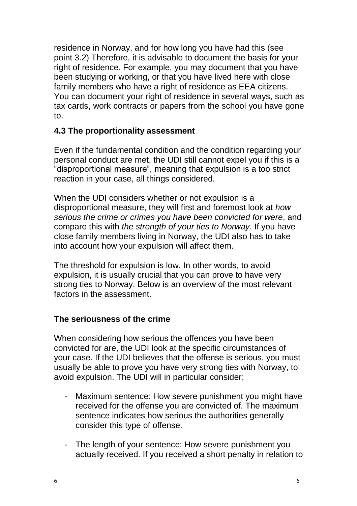residence in Norway, and for how long you have had this (see point 3.2) Therefore, it is advisable to document the basis for your right of residence. For example, you may document that you have been studying or working, or that you have lived here with close family members who have a right of residence as EEA citizens. You can document your right of residence in several ways, such as tax cards, work contracts or papers from the school you have gone to.

#### **4.3 The proportionality assessment**

Even if the fundamental condition and the condition regarding your personal conduct are met, the UDI still cannot expel you if this is a "disproportional measure", meaning that expulsion is a too strict reaction in your case, all things considered.

When the UDI considers whether or not expulsion is a disproportional measure, they will first and foremost look at *how serious the crime or crimes you have been convicted for were*, and compare this with *the strength of your ties to Norway*. If you have close family members living in Norway, the UDI also has to take into account how your expulsion will affect them.

The threshold for expulsion is low. In other words, to avoid expulsion, it is usually crucial that you can prove to have very strong ties to Norway. Below is an overview of the most relevant factors in the assessment.

#### **The seriousness of the crime**

When considering how serious the offences you have been convicted for are, the UDI look at the specific circumstances of your case. If the UDI believes that the offense is serious, you must usually be able to prove you have very strong ties with Norway, to avoid expulsion. The UDI will in particular consider:

- Maximum sentence: How severe punishment you might have received for the offense you are convicted of. The maximum sentence indicates how serious the authorities generally consider this type of offense.
- The length of your sentence: How severe punishment you actually received. If you received a short penalty in relation to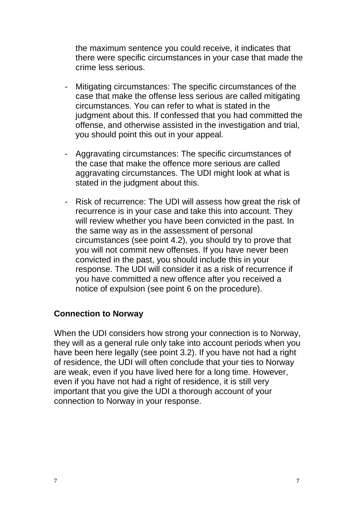the maximum sentence you could receive, it indicates that there were specific circumstances in your case that made the crime less serious.

- Mitigating circumstances: The specific circumstances of the case that make the offense less serious are called mitigating circumstances. You can refer to what is stated in the judgment about this. If confessed that you had committed the offense, and otherwise assisted in the investigation and trial, you should point this out in your appeal.
- Aggravating circumstances: The specific circumstances of the case that make the offence more serious are called aggravating circumstances. The UDI might look at what is stated in the judgment about this.
- Risk of recurrence: The UDI will assess how great the risk of recurrence is in your case and take this into account. They will review whether you have been convicted in the past. In the same way as in the assessment of personal circumstances (see point 4.2), you should try to prove that you will not commit new offenses. If you have never been convicted in the past, you should include this in your response. The UDI will consider it as a risk of recurrence if you have committed a new offence after you received a notice of expulsion (see point 6 on the procedure).

#### **Connection to Norway**

When the UDI considers how strong your connection is to Norway, they will as a general rule only take into account periods when you have been here legally (see point 3.2). If you have not had a right of residence, the UDI will often conclude that your ties to Norway are weak, even if you have lived here for a long time. However, even if you have not had a right of residence, it is still very important that you give the UDI a thorough account of your connection to Norway in your response.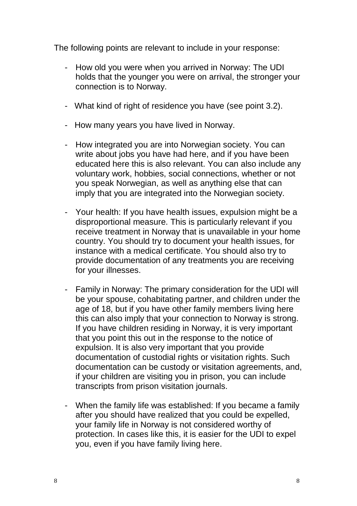The following points are relevant to include in your response:

- How old you were when you arrived in Norway: The UDI holds that the younger you were on arrival, the stronger your connection is to Norway.
- What kind of right of residence you have (see point 3.2).
- How many years you have lived in Norway.
- How integrated you are into Norwegian society. You can write about jobs you have had here, and if you have been educated here this is also relevant. You can also include any voluntary work, hobbies, social connections, whether or not you speak Norwegian, as well as anything else that can imply that you are integrated into the Norwegian society.
- Your health: If you have health issues, expulsion might be a disproportional measure. This is particularly relevant if you receive treatment in Norway that is unavailable in your home country. You should try to document your health issues, for instance with a medical certificate. You should also try to provide documentation of any treatments you are receiving for your illnesses.
- Family in Norway: The primary consideration for the UDI will be your spouse, cohabitating partner, and children under the age of 18, but if you have other family members living here this can also imply that your connection to Norway is strong. If you have children residing in Norway, it is very important that you point this out in the response to the notice of expulsion. It is also very important that you provide documentation of custodial rights or visitation rights. Such documentation can be custody or visitation agreements, and, if your children are visiting you in prison, you can include transcripts from prison visitation journals.
- When the family life was established: If you became a family after you should have realized that you could be expelled, your family life in Norway is not considered worthy of protection. In cases like this, it is easier for the UDI to expel you, even if you have family living here.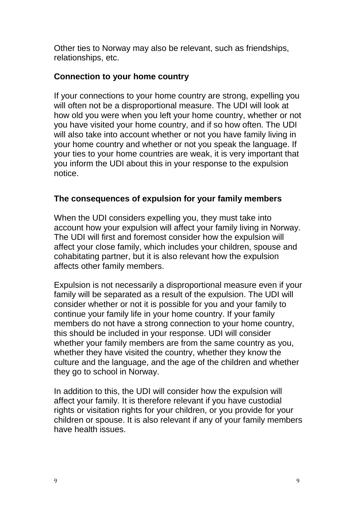Other ties to Norway may also be relevant, such as friendships, relationships, etc.

#### **Connection to your home country**

If your connections to your home country are strong, expelling you will often not be a disproportional measure. The UDI will look at how old you were when you left your home country, whether or not you have visited your home country, and if so how often. The UDI will also take into account whether or not you have family living in your home country and whether or not you speak the language. If your ties to your home countries are weak, it is very important that you inform the UDI about this in your response to the expulsion notice.

#### **The consequences of expulsion for your family members**

When the UDI considers expelling you, they must take into account how your expulsion will affect your family living in Norway. The UDI will first and foremost consider how the expulsion will affect your close family, which includes your children, spouse and cohabitating partner, but it is also relevant how the expulsion affects other family members.

Expulsion is not necessarily a disproportional measure even if your family will be separated as a result of the expulsion. The UDI will consider whether or not it is possible for you and your family to continue your family life in your home country. If your family members do not have a strong connection to your home country, this should be included in your response. UDI will consider whether your family members are from the same country as you, whether they have visited the country, whether they know the culture and the language, and the age of the children and whether they go to school in Norway.

In addition to this, the UDI will consider how the expulsion will affect your family. It is therefore relevant if you have custodial rights or visitation rights for your children, or you provide for your children or spouse. It is also relevant if any of your family members have health issues.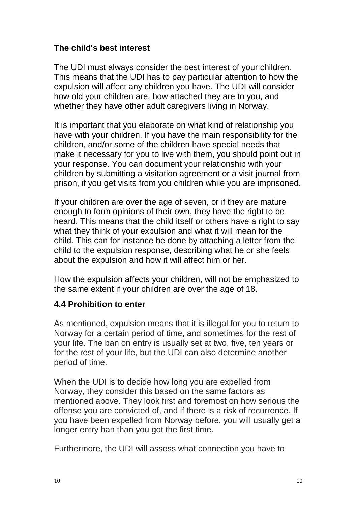#### **The child's best interest**

The UDI must always consider the best interest of your children. This means that the UDI has to pay particular attention to how the expulsion will affect any children you have. The UDI will consider how old your children are, how attached they are to you, and whether they have other adult caregivers living in Norway.

It is important that you elaborate on what kind of relationship you have with your children. If you have the main responsibility for the children, and/or some of the children have special needs that make it necessary for you to live with them, you should point out in your response. You can document your relationship with your children by submitting a visitation agreement or a visit journal from prison, if you get visits from you children while you are imprisoned.

If your children are over the age of seven, or if they are mature enough to form opinions of their own, they have the right to be heard. This means that the child itself or others have a right to say what they think of your expulsion and what it will mean for the child. This can for instance be done by attaching a letter from the child to the expulsion response, describing what he or she feels about the expulsion and how it will affect him or her.

How the expulsion affects your children, will not be emphasized to the same extent if your children are over the age of 18.

#### **4.4 Prohibition to enter**

As mentioned, expulsion means that it is illegal for you to return to Norway for a certain period of time, and sometimes for the rest of your life. The ban on entry is usually set at two, five, ten years or for the rest of your life, but the UDI can also determine another period of time.

When the UDI is to decide how long you are expelled from Norway, they consider this based on the same factors as mentioned above. They look first and foremost on how serious the offense you are convicted of, and if there is a risk of recurrence. If you have been expelled from Norway before, you will usually get a longer entry ban than you got the first time.

Furthermore, the UDI will assess what connection you have to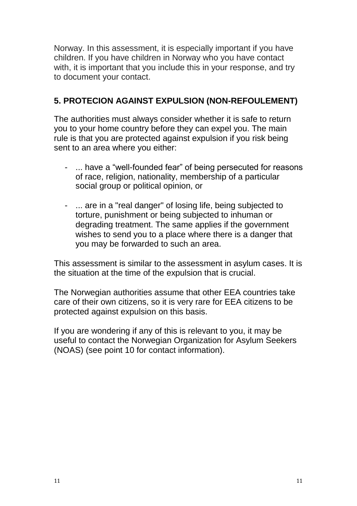Norway. In this assessment, it is especially important if you have children. If you have children in Norway who you have contact with, it is important that you include this in your response, and try to document your contact.

# **5. PROTECION AGAINST EXPULSION (NON-REFOULEMENT)**

The authorities must always consider whether it is safe to return you to your home country before they can expel you. The main rule is that you are protected against expulsion if you risk being sent to an area where you either:

- ... have a "well-founded fear" of being persecuted for reasons of race, religion, nationality, membership of a particular social group or political opinion, or
- ... are in a "real danger" of losing life, being subjected to torture, punishment or being subjected to inhuman or degrading treatment. The same applies if the government wishes to send you to a place where there is a danger that you may be forwarded to such an area.

This assessment is similar to the assessment in asylum cases. It is the situation at the time of the expulsion that is crucial.

The Norwegian authorities assume that other EEA countries take care of their own citizens, so it is very rare for EEA citizens to be protected against expulsion on this basis.

If you are wondering if any of this is relevant to you, it may be useful to contact the Norwegian Organization for Asylum Seekers (NOAS) (see point 10 for contact information).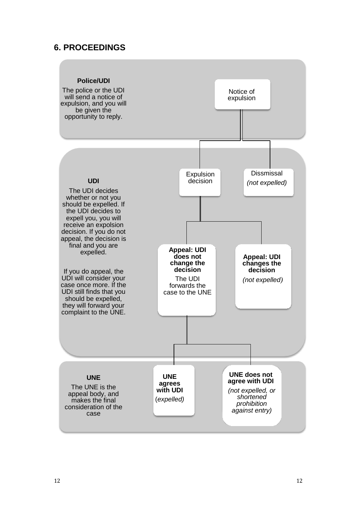#### **6. PROCEEDINGS**

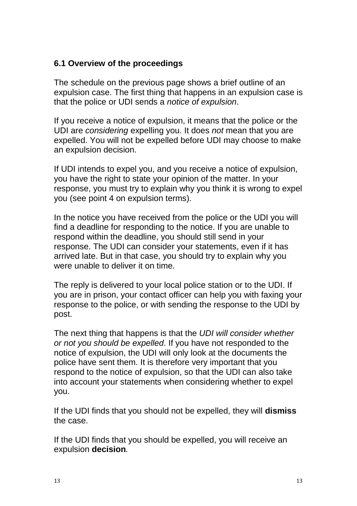#### **6.1 Overview of the proceedings**

The schedule on the previous page shows a brief outline of an expulsion case. The first thing that happens in an expulsion case is that the police or UDI sends a *notice of expulsion*.

If you receive a notice of expulsion, it means that the police or the UDI are *considering* expelling you. It does *not* mean that you are expelled. You will not be expelled before UDI may choose to make an expulsion decision.

If UDI intends to expel you, and you receive a notice of expulsion, you have the right to state your opinion of the matter. In your response, you must try to explain why you think it is wrong to expel you (see point 4 on expulsion terms).

In the notice you have received from the police or the UDI you will find a deadline for responding to the notice. If you are unable to respond within the deadline, you should still send in your response. The UDI can consider your statements, even if it has arrived late. But in that case, you should try to explain why you were unable to deliver it on time.

The reply is delivered to your local police station or to the UDI. If you are in prison, your contact officer can help you with faxing your response to the police, or with sending the response to the UDI by post.

The next thing that happens is that the *UDI will consider whether or not you should be expelled*. If you have not responded to the notice of expulsion, the UDI will only look at the documents the police have sent them. It is therefore very important that you respond to the notice of expulsion, so that the UDI can also take into account your statements when considering whether to expel you.

If the UDI finds that you should not be expelled, they will **dismiss** the case.

If the UDI finds that you should be expelled, you will receive an expulsion **decision***.*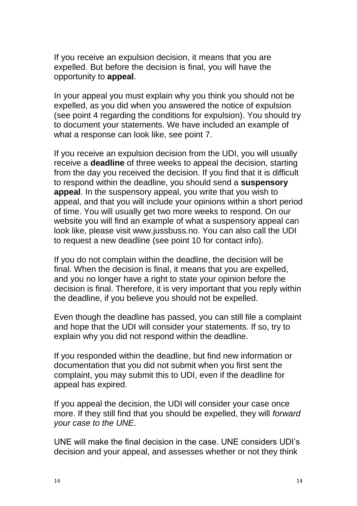If you receive an expulsion decision, it means that you are expelled. But before the decision is final, you will have the opportunity to **appeal**.

In your appeal you must explain why you think you should not be expelled, as you did when you answered the notice of expulsion (see point 4 regarding the conditions for expulsion). You should try to document your statements. We have included an example of what a response can look like, see point 7.

If you receive an expulsion decision from the UDI, you will usually receive a **deadline** of three weeks to appeal the decision, starting from the day you received the decision. If you find that it is difficult to respond within the deadline, you should send a **suspensory appeal**. In the suspensory appeal, you write that you wish to appeal, and that you will include your opinions within a short period of time. You will usually get two more weeks to respond. On our website you will find an example of what a suspensory appeal can look like, please visit www.jussbuss.no. You can also call the UDI to request a new deadline (see point 10 for contact info).

If you do not complain within the deadline, the decision will be final. When the decision is final, it means that you are expelled, and you no longer have a right to state your opinion before the decision is final. Therefore, it is very important that you reply within the deadline, if you believe you should not be expelled.

Even though the deadline has passed, you can still file a complaint and hope that the UDI will consider your statements. If so, try to explain why you did not respond within the deadline.

If you responded within the deadline, but find new information or documentation that you did not submit when you first sent the complaint, you may submit this to UDI, even if the deadline for appeal has expired.

If you appeal the decision, the UDI will consider your case once more. If they still find that you should be expelled, they will *forward your case to the UNE*.

UNE will make the final decision in the case. UNE considers UDI's decision and your appeal, and assesses whether or not they think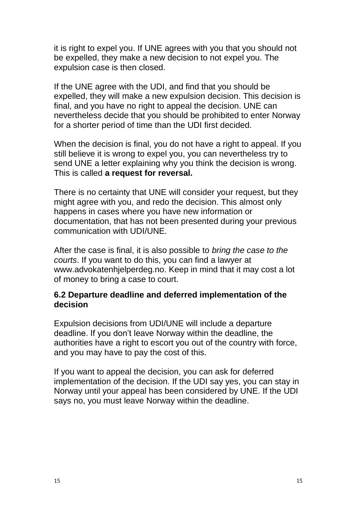it is right to expel you. If UNE agrees with you that you should not be expelled, they make a new decision to not expel you. The expulsion case is then closed.

If the UNE agree with the UDI, and find that you should be expelled, they will make a new expulsion decision. This decision is final, and you have no right to appeal the decision. UNE can nevertheless decide that you should be prohibited to enter Norway for a shorter period of time than the UDI first decided.

When the decision is final, you do not have a right to appeal. If you still believe it is wrong to expel you, you can nevertheless try to send UNE a letter explaining why you think the decision is wrong. This is called **a request for reversal.**

There is no certainty that UNE will consider your request, but they might agree with you, and redo the decision. This almost only happens in cases where you have new information or documentation, that has not been presented during your previous communication with UDI/UNE.

After the case is final, it is also possible to *bring the case to the courts*. If you want to do this, you can find a lawyer at www.advokatenhjelperdeg.no. Keep in mind that it may cost a lot of money to bring a case to court.

#### **6.2 Departure deadline and deferred implementation of the decision**

Expulsion decisions from UDI/UNE will include a departure deadline. If you don't leave Norway within the deadline, the authorities have a right to escort you out of the country with force, and you may have to pay the cost of this.

If you want to appeal the decision, you can ask for deferred implementation of the decision. If the UDI say yes, you can stay in Norway until your appeal has been considered by UNE. If the UDI says no, you must leave Norway within the deadline.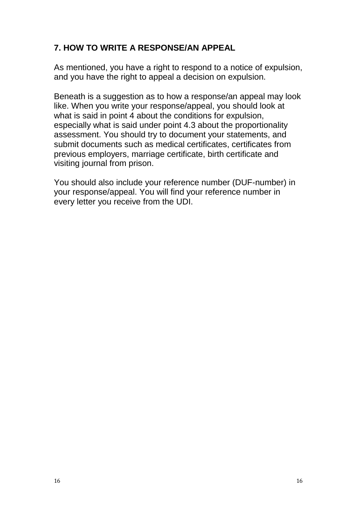# **7. HOW TO WRITE A RESPONSE/AN APPEAL**

As mentioned, you have a right to respond to a notice of expulsion, and you have the right to appeal a decision on expulsion.

Beneath is a suggestion as to how a response/an appeal may look like. When you write your response/appeal, you should look at what is said in point 4 about the conditions for expulsion, especially what is said under point 4.3 about the proportionality assessment. You should try to document your statements, and submit documents such as medical certificates, certificates from previous employers, marriage certificate, birth certificate and visiting journal from prison.

You should also include your reference number (DUF-number) in your response/appeal. You will find your reference number in every letter you receive from the UDI.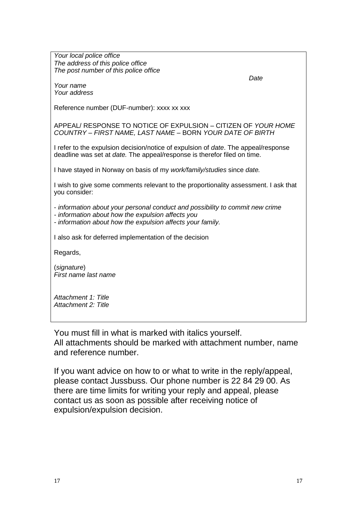*Your local police office The address of this police office The post number of this police office*

*Your name Your address* *Date*

Reference number (DUF-number): xxxx xx xxx

APPEAL/ RESPONSE TO NOTICE OF EXPULSION *–* CITIZEN OF *YOUR HOME COUNTRY* – *FIRST NAME, LAST NAME* – BORN *YOUR DATE OF BIRTH*

I refer to the expulsion decision/notice of expulsion of *date*. The appeal/response deadline was set at *date.* The appeal/response is therefor filed on time.

I have stayed in Norway on basis of my *work/family/studies* since *date.*

I wish to give some comments relevant to the proportionality assessment. I ask that you consider:

- *information about your personal conduct and possibility to commit new crime*

*- information about how the expulsion affects you*

*- information about how the expulsion affects your family.*

I also ask for deferred implementation of the decision

Regards,

(*signature*) *First name last name*

*Attachment 1: Title Attachment 2: Title*

You must fill in what is marked with italics yourself. All attachments should be marked with attachment number, name and reference number.

If you want advice on how to or what to write in the reply/appeal, please contact Jussbuss. Our phone number is 22 84 29 00. As there are time limits for writing your reply and appeal, please contact us as soon as possible after receiving notice of expulsion/expulsion decision.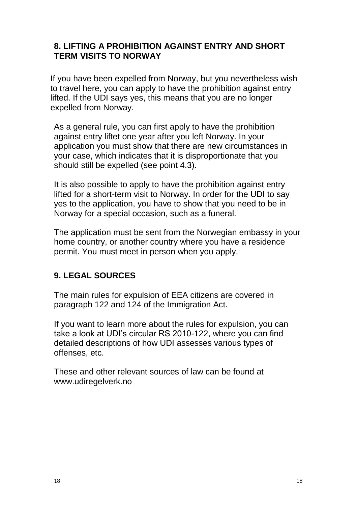#### **8. LIFTING A PROHIBITION AGAINST ENTRY AND SHORT TERM VISITS TO NORWAY**

If you have been expelled from Norway, but you nevertheless wish to travel here, you can apply to have the prohibition against entry lifted. If the UDI says yes, this means that you are no longer expelled from Norway.

As a general rule, you can first apply to have the prohibition against entry liftet one year after you left Norway. In your application you must show that there are new circumstances in your case, which indicates that it is disproportionate that you should still be expelled (see point 4.3).

It is also possible to apply to have the prohibition against entry lifted for a short-term visit to Norway. In order for the UDI to say yes to the application, you have to show that you need to be in Norway for a special occasion, such as a funeral.

The application must be sent from the Norwegian embassy in your home country, or another country where you have a residence permit. You must meet in person when you apply.

## **9. LEGAL SOURCES**

The main rules for expulsion of EEA citizens are covered in paragraph 122 and 124 of the Immigration Act.

If you want to learn more about the rules for expulsion, you can take a look at UDI's circular RS 2010-122, where you can find detailed descriptions of how UDI assesses various types of offenses, etc.

These and other relevant sources of law can be found at www.udiregelverk.no